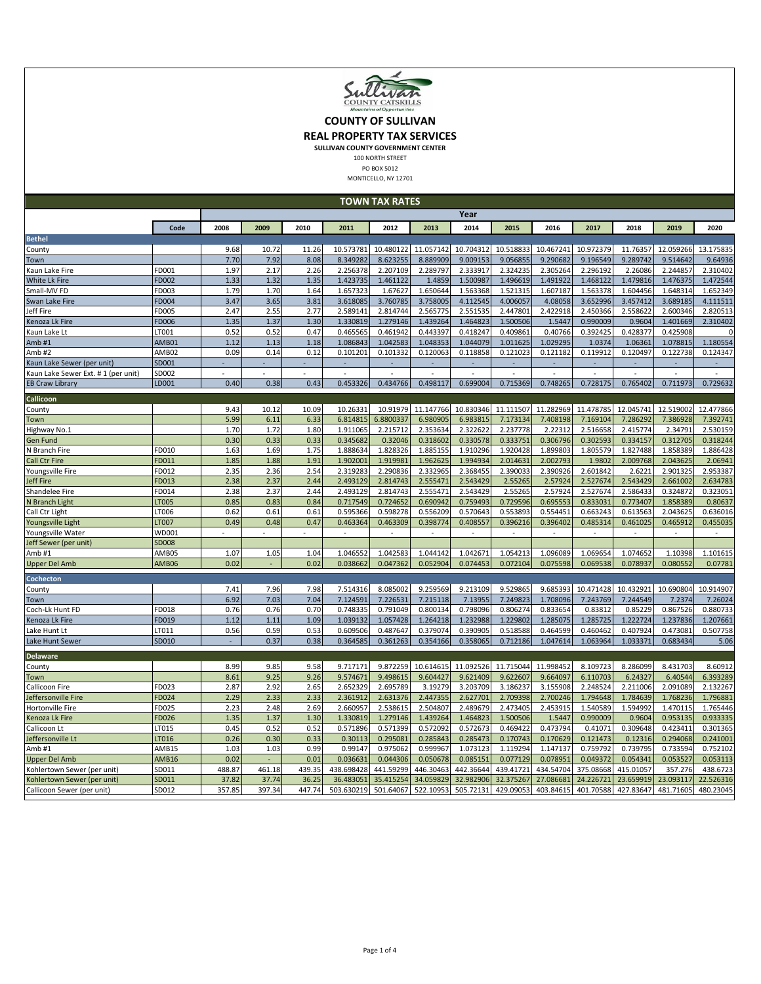

## **COUNTY OF SULLIVAN**

**REAL PROPERTY TAX SERVICES**

**SULLIVAN COUNTY GOVERNMENT CENTER**

100 NORTH STREET

PO BOX 5012 MONTICELLO, NY 12701

|                                                                                                                                                                                                                                                                                     | <b>TOWN TAX RATES</b> |        |                          |        |            |           |           |           |           |           |           |                          |           |           |
|-------------------------------------------------------------------------------------------------------------------------------------------------------------------------------------------------------------------------------------------------------------------------------------|-----------------------|--------|--------------------------|--------|------------|-----------|-----------|-----------|-----------|-----------|-----------|--------------------------|-----------|-----------|
|                                                                                                                                                                                                                                                                                     | Year                  |        |                          |        |            |           |           |           |           |           |           |                          |           |           |
|                                                                                                                                                                                                                                                                                     | Code                  | 2008   | 2009                     | 2010   | 2011       | 2012      | 2013      | 2014      | 2015      | 2016      | 2017      | 2018                     | 2019      | 2020      |
| <b>Bethel</b>                                                                                                                                                                                                                                                                       |                       |        |                          |        |            |           |           |           |           |           |           |                          |           |           |
| County                                                                                                                                                                                                                                                                              |                       | 9.68   | 10.72                    | 11.26  | 10.573781  | 10.480122 | 11.057142 | 10.704312 | 10.518833 | 10.467241 | 10.972379 | 11.76357                 | 12.059266 | 13.175835 |
| Town                                                                                                                                                                                                                                                                                |                       | 7.70   | 7.92                     | 8.08   | 8.349282   | 8.623255  | 8.889909  | 9.009153  | 9.056855  | 9.290682  | 9.196549  | 9.289742                 | 9.514642  | 9.64936   |
| Kaun Lake Fire                                                                                                                                                                                                                                                                      | FD001                 | 1.97   | 2.17                     | 2.26   | 2.256378   | 2.207109  | 2.289797  | 2.333917  | 2.324235  | 2.305264  | 2.296192  | 2.26086                  | 2.244857  | 2.310402  |
| White Lk Fire                                                                                                                                                                                                                                                                       | FD002                 | 1.33   | 1.32                     | 1.35   | 1.423735   | 1.461122  | 1.4859    | 1.500987  | 1.496619  | 1.491922  | 1.468122  | 1.479816                 | 1.476375  | 1.472544  |
| Small-MV FD                                                                                                                                                                                                                                                                         | FD003                 | 1.79   | 1.70                     | 1.64   | 1.657323   | 1.67627   | 1.650644  | 1.563368  | 1.521315  | 1.607187  | 1.563378  | 1.604456                 | 1.648314  | 1.652349  |
| Swan Lake Fire                                                                                                                                                                                                                                                                      | FD004                 | 3.47   | 3.65                     | 3.81   | 3.618085   | 3.760785  | 3.758005  | 4.112545  | 4.006057  | 4.08058   | 3.652996  | 3.457412                 | 3.689185  | 4.111511  |
| Jeff Fire                                                                                                                                                                                                                                                                           | FD005                 | 2.47   | 2.55                     | 2.77   | 2.589141   | 2.814744  | 2.565775  | 2.551535  | 2.447801  | 2.422918  | 2.450366  | 2.558622                 | 2.600346  | 2.820513  |
| Kenoza Lk Fire                                                                                                                                                                                                                                                                      | FD006                 | 1.35   | 1.37                     | 1.30   | 1.330819   | 1.279146  | 1.439264  | 1.464823  | 1.500506  | 1.5447    | 0.990009  | 0.9604                   | 1.401669  | 2.310402  |
| Kaun Lake Lt                                                                                                                                                                                                                                                                        | LT001                 | 0.52   | 0.52                     | 0.47   | 0.465565   | 0.461942  | 0.443397  | 0.418247  | 0.409861  | 0.40766   | 0.392425  | 0.428377                 | 0.425908  | O         |
| Amb#1                                                                                                                                                                                                                                                                               | AMB01                 | 1.12   | 1.13                     | 1.18   | 1.086843   | 1.042583  | 1.048353  | 1.044079  | 1.011625  | 1.029295  | 1.0374    | 1.06361                  | 1.078815  | 1.180554  |
| Amb#2                                                                                                                                                                                                                                                                               | AMB02                 | 0.09   | 0.14                     | 0.12   | 0.101201   | 0.101332  | 0.120063  | 0.118858  | 0.121023  | 0.121182  | 0.119912  | 0.120497                 | 0.122738  | 0.124347  |
| <aun (per="" lake="" sewer="" td="" unit)<=""><td>SD001</td><td></td><td></td><td></td><td>÷</td><td></td><td>٠</td><td>÷</td><td></td><td></td><td>٠</td><td><math display="inline">\overline{\phantom{a}}</math></td><td></td><td><math display="inline">\omega</math></td></aun> | SD001                 |        |                          |        | ÷          |           | ٠         | ÷         |           |           | ٠         | $\overline{\phantom{a}}$ |           | $\omega$  |
| <aun #="" (per="" 1="" ext.="" lake="" sewer="" td="" unit)<=""><td>SD002</td><td></td><td></td><td></td><td></td><td></td><td></td><td></td><td></td><td></td><td></td><td></td><td></td><td></td></aun>                                                                           | SD002                 |        |                          |        |            |           |           |           |           |           |           |                          |           |           |
| <b>EB Craw Library</b>                                                                                                                                                                                                                                                              | LD001                 | 0.40   | 0.38                     | 0.43   | 0.453326   | 0.434766  | 0.498117  | 0.699004  | 0.715369  | 0.748265  | 0.728175  | 0.765402                 | 0.711973  | 0.729632  |
| Callicoon                                                                                                                                                                                                                                                                           |                       |        |                          |        |            |           |           |           |           |           |           |                          |           |           |
| County                                                                                                                                                                                                                                                                              |                       | 9.43   | 10.12                    | 10.09  | 10.26331   | 10.91979  | 11.147766 | 10.830346 | 11.111507 | 11.282969 | 11.478785 | 12.045741                | 12.519002 | 12.477866 |
| Town                                                                                                                                                                                                                                                                                |                       | 5.99   | 6.11                     | 6.33   | 6.814815   | 6.8800337 | 6.980905  | 6.983815  | 7.173134  | 7.408198  | 7.169104  | 7.286292                 | 7.386928  | 7.392741  |
| Highway No.1                                                                                                                                                                                                                                                                        |                       | 1.70   | 1.72                     | 1.80   | 1.911065   | 2.215712  | 2.353634  | 2.322622  | 2.237778  | 2.22312   | 2.516658  | 2.415774                 | 2.34791   | 2.530159  |
| Gen Fund                                                                                                                                                                                                                                                                            |                       | 0.30   | 0.33                     | 0.33   | 0.345682   | 0.32046   | 0.318602  | 0.330578  | 0.333751  | 0.306796  | 0.302593  | 0.334157                 | 0.312705  | 0.318244  |
| N Branch Fire                                                                                                                                                                                                                                                                       | FD010                 | 1.63   | 1.69                     | 1.75   | 1.888634   | 1.828326  | 1.885155  | 1.910296  | 1.920428  | 1.899803  | 1.805579  | 1.827488                 | 1.858389  | 1.886428  |
| Call Ctr Fire                                                                                                                                                                                                                                                                       | FD011                 | 1.85   | 1.88                     | 1.91   | 1.902001   | 1.919981  | 1.962625  | 1.994934  | 2.014631  | 2.002793  | 1.9802    | 2.009768                 | 2.043625  | 2.06941   |
| Youngsville Fire                                                                                                                                                                                                                                                                    | FD012                 | 2.35   | 2.36                     | 2.54   | 2.319283   | 2.290836  | 2.332965  | 2.368455  | 2.390033  | 2.390926  | 2.601842  | 2.6221                   | 2.901325  | 2.953387  |
| leff Fire                                                                                                                                                                                                                                                                           | FD013                 | 2.38   | 2.37                     | 2.44   | 2.493129   | 2.814743  | 2.555471  | 2.543429  | 2.55265   | 2.57924   | 2.527674  | 2.543429                 | 2.661002  | 2.634783  |
| Shandelee Fire                                                                                                                                                                                                                                                                      | FD014                 | 2.38   | 2.37                     | 2.44   | 2.493129   | 2.814743  | 2.555471  | 2.543429  | 2.55265   | 2.57924   | 2.527674  | 2.586433                 | 0.324872  | 0.323051  |
| <b>V Branch Light</b>                                                                                                                                                                                                                                                               | <b>LT005</b>          | 0.85   | 0.83                     | 0.84   | 0.717549   | 0.724652  | 0.690942  | 0.759493  | 0.729596  | 0.695553  | 0.833031  | 0.773407                 | 1.858389  | 0.80637   |
| Call Ctr Light                                                                                                                                                                                                                                                                      | LT006                 | 0.62   | 0.61                     | 0.61   | 0.595366   | 0.598278  | 0.556209  | 0.570643  | 0.553893  | 0.554451  | 0.663243  | 0.613563                 | 2.043625  | 0.636016  |
| Youngsville Light                                                                                                                                                                                                                                                                   | LT007                 | 0.49   | 0.48                     | 0.47   | 0.463364   | 0.463309  | 0.398774  | 0.408557  | 0.396216  | 0.396402  | 0.485314  | 0.461025                 | 0.465912  | 0.455035  |
| Youngsville Water                                                                                                                                                                                                                                                                   | WD001                 |        |                          |        |            |           |           |           |           |           |           |                          |           |           |
| Jeff Sewer (per unit)                                                                                                                                                                                                                                                               | <b>SD008</b>          |        |                          |        |            |           |           |           |           |           |           |                          |           |           |
| Amb#1                                                                                                                                                                                                                                                                               | AMB05                 | 1.07   | 1.05                     | 1.04   | 1.046552   | 1.042583  | 1.044142  | 1.042671  | 1.054213  | 1.096089  | 1.069654  | 1.074652                 | 1.10398   | 1.101615  |
| <b>Upper Del Amb</b>                                                                                                                                                                                                                                                                | AMB06                 | 0.02   |                          | 0.02   | 0.038662   | 0.047362  | 0.052904  | 0.074453  | 0.072104  | 0.075598  | 0.069538  | 0.078937                 | 0.080552  | 0.07781   |
| Cochecton                                                                                                                                                                                                                                                                           |                       |        |                          |        |            |           |           |           |           |           |           |                          |           |           |
| County                                                                                                                                                                                                                                                                              |                       | 7.41   | 7.96                     | 7.98   | 7.514316   | 8.085002  | 9.259569  | 9.213109  | 9.529865  | 9.685393  | 10.471428 | 10.432921                | 10.690804 | 10.914907 |
| Town                                                                                                                                                                                                                                                                                |                       | 6.92   | 7.03                     | 7.04   | 7.124591   | 7.226531  | 7.215118  | 7.13955   | 7.249823  | 1.708096  | 7.243769  | 7.244549                 | 7.2374    | 7.26024   |
| Coch-Lk Hunt FD                                                                                                                                                                                                                                                                     | FD018                 | 0.76   | 0.76                     | 0.70   | 0.748335   | 0.791049  | 0.800134  | 0.798096  | 0.806274  | 0.833654  | 0.83812   | 0.85229                  | 0.867526  | 0.880733  |
| Kenoza Lk Fire                                                                                                                                                                                                                                                                      | FD019                 | 1.12   | 1.11                     | 1.09   | 1.039132   | 1.057428  | 1.264218  | 1.232988  | 1.229802  | 1.285075  | 1.285725  | 1.222724                 | 1.237836  | 1.207661  |
| Lake Hunt Lt                                                                                                                                                                                                                                                                        | LT011                 | 0.56   | 0.59                     | 0.53   | 0.609506   | 0.487647  | 0.379074  | 0.390905  | 0.518588  | 0.464599  | 0.460462  | 0.407924                 | 0.473081  | 0.507758  |
| Lake Hunt Sewer                                                                                                                                                                                                                                                                     | SD010                 |        | 0.37                     | 0.38   | 0.364585   | 0.361263  | 0.354166  | 0.358065  | 0.712186  | 1.047614  | 1.063964  | 1.033371                 | 0.683434  | 5.06      |
|                                                                                                                                                                                                                                                                                     |                       |        |                          |        |            |           |           |           |           |           |           |                          |           |           |
| <b>Delaware</b>                                                                                                                                                                                                                                                                     |                       |        |                          |        |            |           |           |           |           |           |           |                          |           |           |
| County                                                                                                                                                                                                                                                                              |                       | 8.99   | 9.85                     | 9.58   | 9.717171   | 9.872259  | 10.614615 | 11.092526 | 11.715044 | 11.998452 | 8.109723  | 8.286099                 | 8.431703  | 8.60912   |
| Town                                                                                                                                                                                                                                                                                |                       | 8.61   | 9.25                     | 9.26   | 9.574671   | 9.498615  | 9.604427  | 9.621409  | 9.622607  | 9.664097  | 6.110703  | 6.24327                  | 6.40544   | 6.393289  |
| Callicoon Fire                                                                                                                                                                                                                                                                      | FD023                 | 2.87   | 2.92                     | 2.65   | 2.652329   | 2.695789  | 3.19279   | 3.203709  | 3.186237  | 3.155908  | 2.248524  | 2.211006                 | 2.091089  | 2.132267  |
| effersonville Fire                                                                                                                                                                                                                                                                  | FD024                 | 2.29   | 2.33                     | 2.33   | 2.361912   | 2.631376  | 2.447355  | 2.627701  | 2.709398  | 2.700246  | 1.794648  | 1.784639                 | 1.768236  | 1.796881  |
| Hortonville Fire                                                                                                                                                                                                                                                                    | FD025                 | 2.23   | 2.48                     | 2.69   | 2.660957   | 2.538615  | 2.504807  | 2.489679  | 2.473405  | 2.453915  | 1.540589  | 1.594992                 | 1.470115  | 1.765446  |
| Kenoza Lk Fire                                                                                                                                                                                                                                                                      | FD026                 | 1.35   | 1.37                     | 1.30   | 1.330819   | 1.279146  | 1.439264  | 1.464823  | 1.500506  | 1.5447    | 0.990009  | 0.9604                   | 0.953135  | 0.933335  |
| Callicoon Lt                                                                                                                                                                                                                                                                        | LT015                 | 0.45   | 0.52                     | 0.52   | 0.571896   | 0.571399  | 0.572092  | 0.572673  | 0.469422  | 0.473794  | 0.41071   | 0.309648                 | 0.423411  | 0.301365  |
| leffersonville Lt                                                                                                                                                                                                                                                                   | LT016                 | 0.26   | 0.30                     | 0.33   | 0.30113    | 0.295081  | 0.285843  | 0.285473  | 0.170743  | 0.170629  | 0.121473  | 0.12316                  | 0.294068  | 0.241001  |
| Amb#1                                                                                                                                                                                                                                                                               | AMB15                 | 1.03   | 1.03                     | 0.99   | 0.99147    | 0.975062  | 0.999967  | 1.073123  | 1.119294  | 1.147137  | 0.759792  | 0.739795                 | 0.733594  | 0.752102  |
| <b>Upper Del Amb</b>                                                                                                                                                                                                                                                                | AMB16                 | 0.02   | $\overline{\phantom{a}}$ | 0.01   | 0.036631   | 0.044306  | 0.050678  | 0.085151  | 0.077129  | 0.078951  | 0.049372  | 0.054341                 | 0.053527  | 0.053113  |
| (ohlertown Sewer (per unit)                                                                                                                                                                                                                                                         | SD011                 | 488.87 | 461.18                   | 439.35 | 438.698428 | 441.59299 | 446.30463 | 442.36644 | 439.41721 | 434.54704 | 375.08668 | 415.01057                | 357.276   | 438.6723  |
| Kohlertown Sewer (per unit)                                                                                                                                                                                                                                                         | SD011                 | 37.82  | 37.74                    | 36.25  | 36.483051  | 35.415254 | 34.059829 | 32.982906 | 32.375267 | 27.086681 | 24.226721 | 23.659919                | 23.093117 | 22.526316 |
| Callicoon Sewer (per unit)                                                                                                                                                                                                                                                          | SD012                 | 357.85 | 397.34                   | 447.74 | 503.630219 | 501.64067 | 522.10953 | 505.72131 | 429.09053 | 403.84615 | 401.70588 | 427.83647                | 481.71605 | 480.23045 |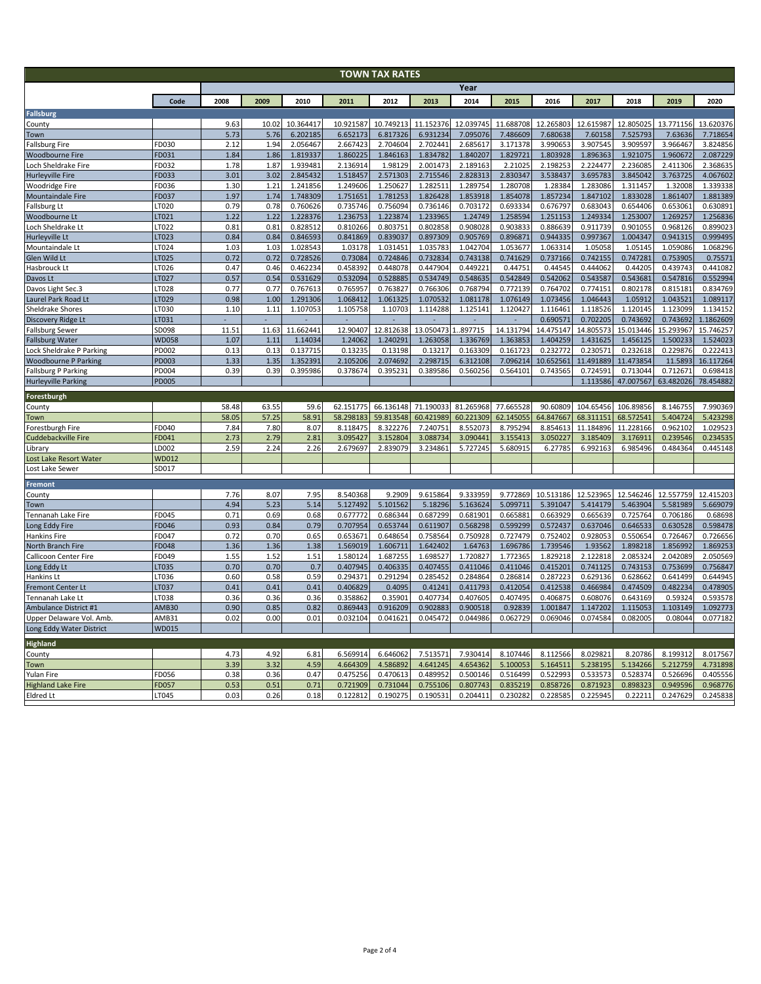| <b>TOWN TAX RATES</b>       |              |              |       |              |           |                      |                      |           |                      |                      |           |           |                      |           |
|-----------------------------|--------------|--------------|-------|--------------|-----------|----------------------|----------------------|-----------|----------------------|----------------------|-----------|-----------|----------------------|-----------|
|                             | Year         |              |       |              |           |                      |                      |           |                      |                      |           |           |                      |           |
|                             | Code         | 2008         | 2009  | 2010         | 2011      | 2012                 | 2013                 | 2014      | 2015                 | 2016                 | 2017      | 2018      | 2019                 | 2020      |
| <b>Fallsburg</b>            |              |              |       |              |           |                      |                      |           |                      |                      |           |           |                      |           |
| County                      |              | 9.63         | 10.02 | 10.364417    | 10.921587 | 10.749213            | 11.152376            | 12.039745 | 11.688708            | 12.265803            | 12.615987 | 12.805025 | 13.771156            | 13.620376 |
| Town                        |              | 5.73         | 5.76  | 6.202185     | 6.652173  | 6.817326             | 6.931234             | 7.095076  | 7.486609             | 7.680638             | 7.60158   | 7.525793  | 7.63636              | 7.718654  |
| Fallsburg Fire              | FD030        | 2.12         | 1.94  | 2.056467     | 2.667423  | 2.704604             | 2.702441             | 2.685617  | 3.171378             | 3.990653             | 3.907545  | 3.909597  | 3.966467             | 3.824856  |
| <b>Woodbourne Fire</b>      | FD031        | 1.84         | 1.86  | 1.819337     | 1.860225  | 1.846163             | 1.834782             | 1.840207  | 1.829721             | 1.803928             | 1.896363  | 1.921075  | 1.960672             | 2.087229  |
| Loch Sheldrake Fire         | FD032        | 1.78         | 1.87  | 1.939481     | 2.136914  | 1.98129              | 2.001473             | 2.189163  | 2.21025              | 2.198253             | 2.224477  | 2.236085  | 2.411306             | 2.368635  |
| Hurleyville Fire            | FD033        | 3.01         | 3.02  | 2.845432     | 1.518457  | 2.571303             | 2.715546             | 2.828313  | 2.830347             | 3.538437             | 3.695783  | 3.845042  | 3.763725             | 4.067602  |
| Woodridge Fire              | FD036        | 1.30         | 1.21  | 1.241856     | 1.249606  | 1.250627             | 1.282511             | 1.289754  | 1.280708             | 1.28384              | 1.283086  | 1.311457  | 1.32008              | 1.339338  |
| Mountaindale Fire           | FD037        | 1.97         | 1.74  | 1.748309     | 1.751651  | 1.781253             | 1.826428             | 1.853918  | 1.854078             | 1.857234             | 1.847102  | 1.833028  | 1.861407             | 1.881389  |
| allsburg Lt                 | LT020        | 0.79         | 0.78  | 0.760626     | 0.735746  | 0.756094             | 0.736146             | 0.703172  | 0.693334             | 0.676797             | 0.683043  | 0.654406  | 0.653061             | 0.630891  |
| Woodbourne Lt               | LT021        | 1.22         | 1.22  | 1.228376     | 1.236753  | 1.223874             | 1.233965             | 1.24749   | 1.258594             | 1.251153             | 1.249334  | 1.253007  | 1.269257             | 1.256836  |
| och Sheldrake Lt            | LT022        | 0.81         | 0.81  | 0.828512     | 0.810266  | 0.803751             | 0.802858             | 0.908028  | 0.90383              | 0.886639             | 0.911739  | 0.901055  | 0.968126             | 0.899023  |
| Hurleyville Lt              | LT023        | 0.84         | 0.84  | 0.846593     | 0.841869  | 0.839037             | 0.897309             | 0.905769  | 0.896871             | 0.944335             | 0.997367  | 1.004347  | 0.941315             | 0.999495  |
| Mountaindale Lt             | LT024        | 1.03         | 1.03  | 1.028543     | 1.03178   | 1.031451             | 1.035783             | 1.042704  | 1.053677             | 1.063314             | 1.05058   | 1.05145   | 1.059086             | 1.068296  |
| Glen Wild Lt                | LT025        | 0.72         | 0.72  | 0.728526     | 0.73084   | 0.724846             | 0.732834             | 0.743138  | 0.741629             | 0.737166             | 0.742155  | 0.747281  | 0.753905             | 0.75571   |
| Hasbrouck Lt                | LT026        | 0.47         | 0.46  | 0.462234     | 0.458392  | 0.448078             | 0.447904             | 0.449221  | 0.44751              | 0.44545              | 0.444062  | 0.44205   | 0.439743             | 0.441082  |
| Davos Lt                    | LT027        | 0.57         | 0.54  | 0.531629     | 0.532094  | 0.528885             | 0.534749             | 0.548635  | 0.542849             | 0.542062             | 0.543587  | 0.543681  | 0.547816             | 0.552994  |
| Davos Light Sec.3           | LT028        | 0.77         | 0.77  | 0.767613     | 0.765957  | 0.763827             | 0.766306             | 0.768794  | 0.772139             | 0.764702             | 0.774151  | 0.802178  | 0.815181             | 0.834769  |
| Laurel Park Road Lt         | LT029        | 0.98         | 1.00  | 1.291306     | 1.068412  | 1.061325             | 1.070532             | 1.081178  | 1.076149             | 1.073456             | 1.046443  | 1.05912   | 1.043521             | 1.089117  |
| Sheldrake Shores            | LT030        | 1.10         | 1.11  | 1.107053     | 1.105758  | 1.10703              | 1.114288             | 1.125141  | 1.120427             | 1.116461             | 1.118526  | 1.120145  | 1.123099             | 1.134152  |
| Discovery Ridge Lt          | LT031        |              |       |              |           |                      |                      |           |                      | 0.690571             | 0.702205  | 0.743692  | 0.743692             | 1.1862609 |
| Fallsburg Sewer             | SD098        | 11.51        | 11.63 | 11.662441    | 12.90407  | 12.812638            | 13.050473            | .897715   | 14.131794            | 14.475147            | 14.805573 | 15.013446 | 15.293967            | 15.746257 |
| <b>Fallsburg Water</b>      | <b>WD058</b> | 1.07         | 1.11  | 1.14034      | 1.24062   | 1.240291             | 1.263058             | 1.336769  | 1.363853             | 1.404259             | 1.431625  | 1.456125  | 1.500233             | 1.524023  |
| Lock Sheldrake P Parking    | PD002        | 0.13         | 0.13  | 0.137715     | 0.13235   | 0.13198              | 0.13217              | 0.163309  | 0.161723             | 0.232772             | 0.230571  | 0.232618  | 0.229876             | 0.222413  |
| <b>Woodbourne P Parking</b> | PD003        | 1.33         | 1.35  | 1.352391     | 2.105206  | 2.074692             | 2.298715             | 6.312108  | 7.096214             | 10.652561            | 11.491889 | 11.473854 | 11.5893              | 16.117264 |
| Fallsburg P Parking         | PD004        | 0.39         | 0.39  | 0.395986     | 0.378674  | 0.395231             | 0.389586             | 0.560256  | 0.564101             | 0.743565             | 0.724591  | 0.713044  | 0.71267              | 0.698418  |
| <b>Hurleyville Parking</b>  | <b>PD005</b> |              |       |              |           |                      |                      |           |                      |                      | 1.113586  | 47.007567 | 63.482026            | 78.454882 |
| Forestburgh                 |              |              |       |              |           |                      |                      |           |                      |                      |           |           |                      |           |
| County                      |              | 58.48        | 63.55 | 59.6         | 62.151775 | 66.136148            | 71.190033            | 81.265968 | 77.665528            | 90.60809             | 104.65456 | 106.89856 | 8.146755             | 7.990369  |
| Town                        |              | 58.05        | 57.25 | 58.91        | 58.298183 | 59.813548            | 60.421989            | 60.221309 | 62.145055            | 64.847667            | 68.311151 | 68.572541 | 5.404724             | 5.423298  |
| Forestburgh Fire            | FD040        | 7.84         | 7.80  | 8.07         | 8.118475  | 8.322276             | 7.240751             | 8.552073  | 8.795294             | 8.854613             | 11.184896 | 11.228166 | 0.962102             | 1.029523  |
| Cuddebackville Fire         | FD041        | 2.73         | 2.79  | 2.81         | 3.095427  | 3.152804             | 3.088734             | 3.090441  | 3.155413             | 3.050227             | 3.185409  | 3.176911  | 0.239546             | 0.234535  |
| .ibrary                     | LD002        | 2.59         | 2.24  | 2.26         | 2.679697  | 2.839079             | 3.234861             | 5.727245  | 5.680915             | 6.27785              | 6.992163  | 6.985496  | 0.484364             | 0.445148  |
| ost Lake Resort Water       | <b>WD012</b> |              |       |              |           |                      |                      |           |                      |                      |           |           |                      |           |
| Lost Lake Sewer             | SD017        |              |       |              |           |                      |                      |           |                      |                      |           |           |                      |           |
| Fremont                     |              |              |       |              |           |                      |                      |           |                      |                      |           |           |                      |           |
| County                      |              | 7.76         | 8.07  | 7.95         | 8.540368  | 9.2909               | 9.615864             | 9.333959  | 9.772869             | 10.513186            | 12.523965 | 12.546246 | 12.557759            | 12.415203 |
| Town                        |              | 4.94         | 5.23  | 5.14         | 5.127492  | 5.101562             | 5.18296              | 5.163624  | 5.099711             | 5.391047             | 5.414179  | 5.463904  | 5.581989             | 5.669079  |
| Tennanah Lake Fire          | FD045        | 0.71         | 0.69  | 0.68         | 0.677772  | 0.686344             | 0.687299             | 0.681901  | 0.665881             | 0.663929             | 0.665639  | 0.725764  | 0.706186             | 0.68698   |
| Long Eddy Fire              | FD046        | 0.93         | 0.84  | 0.79         | 0.707954  | 0.653744             | 0.611907             | 0.568298  | 0.599299             | 0.572437             | 0.637046  | 0.646533  | 0.630528             | 0.598478  |
| <b>Hankins Fire</b>         | FD047        | 0.72         | 0.70  | 0.65         | 0.653671  | 0.648654             | 0.758564             | 0.750928  | 0.727479             | 0.752402             | 0.928053  | 0.550654  | 0.726467             | 0.726656  |
| North Branch Fire           | <b>FD048</b> | 1.36         | 1.36  | 1.38         | 1.569019  | 1.606711             | 1.642402             | 1.64763   | 1.696786             | 1.739546             | 1.93562   | 1.898218  | 1.856992             | 1.869253  |
| Callicoon Center Fire       | FD049        | 1.55         | 1.52  | 1.51         | 1.580124  | 1.687255             | 1.698527             | 1.720827  | 1.772365             | 1.829218             | 2.122818  | 2.085324  | 2.042089             | 2.050569  |
| Long Eddy Lt                | LT035        | 0.70         | 0.70  | 0.7          | 0.407945  | 0.406335             | 0.407455             | 0.411046  | 0.411046             | 0.415201             | 0.741125  | 0.743153  | 0.753699             | 0.756847  |
| Hankins Lt                  | LT036        | 0.60         | 0.58  | 0.59         | 0.294371  | 0.291294             | 0.285452             | 0.284864  | 0.286814             | 0.287223             | 0.629136  | 0.628662  | 0.641499             | 0.644945  |
| <b>Fremont Center Lt</b>    | LT037        | 0.41         | 0.41  | 0.41         | 0.406829  | 0.4095               | 0.41241              | 0.411793  | 0.412054             | 0.412538             | 0.466984  | 0.474509  | 0.482234             | 0.478905  |
| Tennanah Lake Lt            | LT038        | 0.36         | 0.36  | 0.36         | 0.358862  | 0.35901              | 0.407734             | 0.407605  | 0.40749              | 0.406875             | 0.608076  | 0.643169  | 0.59324              | 0.593578  |
| Ambulance District #1       | <b>AMB30</b> | 0.90         | 0.85  | 0.82         | 0.869443  | 0.916209             | 0.902883             | 0.900518  | 0.92839              | 1.001847             | 1.147202  | 1.115053  | 1.103149             | 1.092773  |
| Upper Delaware Vol. Amb.    | AMB31        | 0.02         | 0.00  | 0.01         | 0.032104  | 0.041621             | 0.045472             | 0.044986  | 0.062729             | 0.069046             | 0.074584  | 0.082005  | 0.08044              | 0.077182  |
| Long Eddy Water District    | <b>WD015</b> |              |       |              |           |                      |                      |           |                      |                      |           |           |                      |           |
|                             |              |              |       |              |           |                      |                      |           |                      |                      |           |           |                      |           |
| <b>Highland</b>             |              |              |       |              |           |                      | 7.513571             |           | 8.107446             |                      |           |           |                      |           |
| County                      |              | 4.73<br>3.39 | 4.92  | 6.81         | 6.569914  | 6.646062             |                      | 7.930414  |                      | 8.112566             | 8.029821  | 8.20786   | 8.199312             | 8.017567  |
| Town                        |              | 0.38         | 3.32  | 4.59<br>0.47 | 4.664309  | 4.586892<br>0.470613 | 4.641245<br>0.489952 | 4.654362  | 5.100053<br>0.516499 | 5.164511<br>0.522993 | 5.238195  | 5.134266  | 5.212759<br>0.526696 | 4.731898  |
| Yulan Fire                  | FD056        |              | 0.36  |              | 0.475256  |                      |                      | 0.500146  |                      |                      | 0.533573  | 0.528374  |                      | 0.405556  |
| <b>Highland Lake Fire</b>   | FD057        | 0.53         | 0.51  | 0.71         | 0.721909  | 0.731044             | 0.755106             | 0.807743  | 0.835219             | 0.858726             | 0.871923  | 0.898323  | 0.949596             | 0.968776  |
| <b>Eldred Lt</b>            | LT045        | 0.03         | 0.26  | 0.18         | 0.122812  | 0.190275             | 0.190531             | 0.204411  | 0.230282             | 0.228585             | 0.225945  | 0.22211   | 0.247629             | 0.245838  |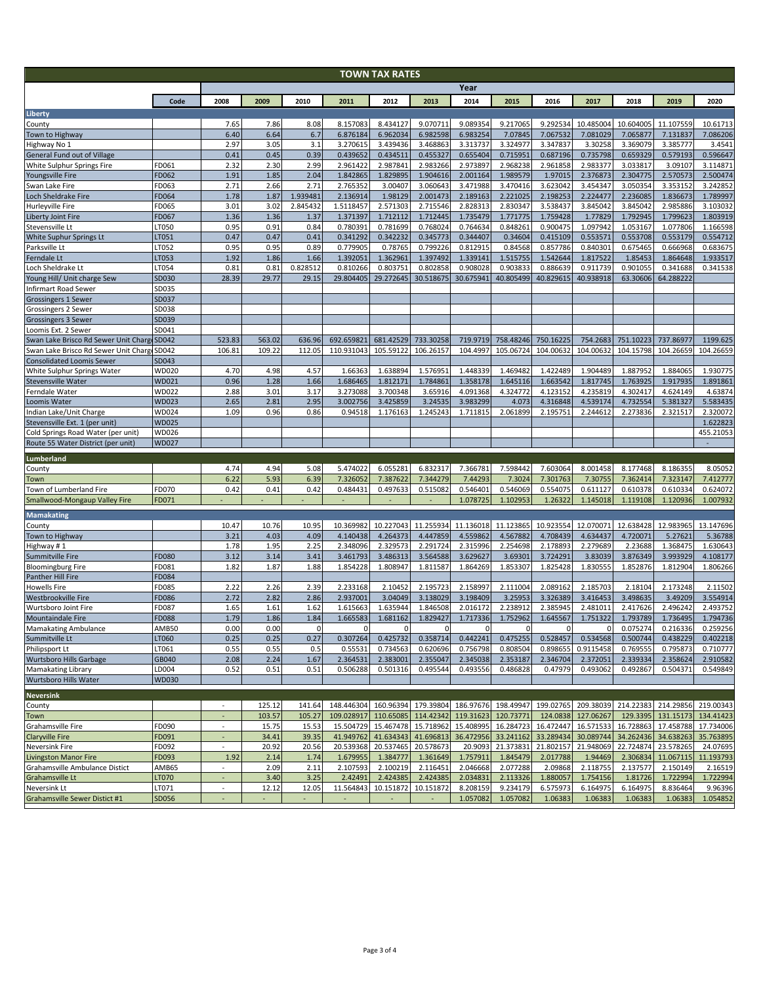| <b>TOWN TAX RATES</b>                                           |                       |                          |              |                  |                                                                                                      |                          |                      |                      |                      |                      |                       |                       |                       |                      |
|-----------------------------------------------------------------|-----------------------|--------------------------|--------------|------------------|------------------------------------------------------------------------------------------------------|--------------------------|----------------------|----------------------|----------------------|----------------------|-----------------------|-----------------------|-----------------------|----------------------|
|                                                                 | Year                  |                          |              |                  |                                                                                                      |                          |                      |                      |                      |                      |                       |                       |                       |                      |
|                                                                 | Code                  | 2008                     | 2009         | 2010             | 2011                                                                                                 | 2012                     | 2013                 | 2014                 | 2015                 | 2016                 | 2017                  | 2018                  | 2019                  | 2020                 |
| Liberty                                                         |                       |                          |              |                  |                                                                                                      |                          |                      |                      |                      |                      |                       |                       |                       |                      |
| County                                                          |                       | 7.65<br>6.40             | 7.86<br>6.64 | 8.08<br>6.7      | 8.157083<br>6.876184                                                                                 | 8.434127<br>6.962034     | 9.070711<br>6.982598 | 9.089354<br>6.983254 | 9.217065<br>7.07845  | 9.292534<br>7.067532 | 10.485004<br>7.081029 | 10.604005<br>7.065877 | 11.107559             | 10.61713<br>7.086206 |
| Town to Highway<br>Highway No 1                                 |                       | 2.97                     | 3.05         | 3.1              | 3.270615                                                                                             | 3.439436                 | 3.468863             | 3.313737             | 3.324977             | 3.347837             | 3.30258               | 3.369079              | 7.131837<br>3.385777  | 3.4541               |
| <b>General Fund out of Village</b>                              |                       | 0.41                     | 0.45         | 0.39             | 0.439652                                                                                             | 0.434511                 | 0.455327             | 0.655404             | 0.715951             | 0.687196             | 0.735798              | 0.659329              | 0.579193              | 0.596647             |
| White Sulphur Springs Fire                                      | FD061                 | 2.32                     | 2.30         | 2.99             | 2.961422                                                                                             | 2.987841                 | 2.983266             | 2.973897             | 2.968238             | 2.961858             | 2.983377              | 3.033817              | 3.09107               | 3.114871             |
| Youngsville Fire                                                | FD062                 | 1.91                     | 1.85         | 2.04             | 1.842865                                                                                             | 1.829895                 | 1.904616             | 2.001164             | 1.989579             | 1.97015              | 2.376873              | 2.304775              | 2.570573              | 2.500474             |
| Swan Lake Fire<br>Loch Sheldrake Fire                           | FD063<br><b>FD064</b> | 2.71<br>1.78             | 2.66<br>1.87 | 2.71<br>1.939481 | 2.765352<br>2.136914                                                                                 | 3.00407<br>1.98129       | 3.060643<br>2.001473 | 3.471988<br>2.189163 | 3.470416<br>2.221025 | 3.623042<br>2.198253 | 3.454347<br>2.224477  | 3.050354<br>2.236085  | 3.353152<br>1.836673  | 3.242852<br>1.789997 |
| Hurleyville Fire                                                | FD065                 | 3.01                     | 3.02         | 2.845432         | 1.5118457                                                                                            | 2.571303                 | 2.715546             | 2.828313             | 2.830347             | 3.538437             | 3.845042              | 3.845042              | 2.985886              | 3.103032             |
| Liberty Joint Fire                                              | FD067                 | 1.36                     | 1.36         | 1.37             | 1.371397                                                                                             | 1.712112                 | 1.712445             | 1.735479             | 1.771775             | 1.759428             | 1.77829               | 1.792945              | 1.799623              | 1.803919             |
| Stevensville Lt                                                 | LT050                 | 0.95                     | 0.91         | 0.84             | 0.780391                                                                                             | 0.781699                 | 0.768024             | 0.764634             | 0.848261             | 0.900475             | 1.097942              | 1.053167              | 1.077806              | 1.166598             |
| White Suphur Springs Lt                                         | LT051                 | 0.47                     | 0.47         | 0.41             | 0.341292                                                                                             | 0.342232                 | 0.345773             | 0.344407             | 0.34604              | 0.415109             | 0.553571              | 0.553708              | 0.553179              | 0.554712             |
| Parksville Lt<br>Ferndale Lt                                    | LT052<br>LT053        | 0.95<br>1.92             | 0.95<br>1.86 | 0.89<br>1.66     | 0.779905<br>1.392051                                                                                 | 0.78765<br>1.362961      | 0.799226<br>1.397492 | 0.812915<br>1.339141 | 0.84568<br>1.515755  | 0.857786<br>1.542644 | 0.840301<br>1.817522  | 0.675465<br>1.85453   | 0.666968<br>1.864648  | 0.683675<br>1.933517 |
| Loch Sheldrake Lt                                               | LT054                 | 0.81                     | 0.81         | 0.828512         | 0.810266                                                                                             | 0.803751                 | 0.802858             | 0.908028             | 0.903833             | 0.886639             | 0.911739              | 0.901055              | 0.341688              | 0.341538             |
| Young Hill/ Unit charge Sew                                     | SD030                 | 28.39                    | 29.77        | 29.15            | 29.804405                                                                                            | 29.272645                | 30.518675            | 30.675941            | 40.805499            | 40.829615            | 40.938918             | 63.30606              | 64.288222             |                      |
| Infirmart Road Sewer                                            | SD035                 |                          |              |                  |                                                                                                      |                          |                      |                      |                      |                      |                       |                       |                       |                      |
| Grossingers 1 Sewer                                             | SD037                 |                          |              |                  |                                                                                                      |                          |                      |                      |                      |                      |                       |                       |                       |                      |
| Grossingers 2 Sewer                                             | SD038                 |                          |              |                  |                                                                                                      |                          |                      |                      |                      |                      |                       |                       |                       |                      |
| Grossingers 3 Sewer<br>Loomis Ext. 2 Sewer                      | SD039<br>SD041        |                          |              |                  |                                                                                                      |                          |                      |                      |                      |                      |                       |                       |                       |                      |
| Swan Lake Brisco Rd Sewer Unit Charg                            | SD042                 | 523.83                   | 563.02       | 636.96           | 692.659821                                                                                           | 681.42529                | 733.30258            | 719.9719             | 758.48246            | 750.16225            | 754.2683              | 751.10223             | 737.86977             | 1199.625             |
| Swan Lake Brisco Rd Sewer Unit Charg                            | SD042                 | 106.81                   | 109.22       | 112.05           | 110.931043                                                                                           | 105.59122                | 106.26157            | 104.4997             | 105.06724            | 104.00632            | 104.00632             | 104.15798             | 104.26659             | 104.26659            |
| <b>Consolidated Loomis Sewer</b>                                | SD043                 |                          |              |                  |                                                                                                      |                          |                      |                      |                      |                      |                       |                       |                       |                      |
| White Sulphur Springs Water                                     | WD020                 | 4.70                     | 4.98         | 4.57             | 1.66363                                                                                              | 1.638894                 | 1.576951             | 1.448339             | 1.469482             | 1.422489             | 1.904489              | 1.887952              | 1.884065              | 1.930775             |
| Stevensville Water                                              | WD021                 | 0.96<br>2.88             | 1.28         | 1.66             | 1.686465<br>3.273088                                                                                 | 1.812171                 | 1.784861             | 1.358178             | 1.645116             | 1.663542             | 1.817745              | 1.763925              | 1.917935              | 1.891861             |
| Ferndale Water<br>Loomis Water                                  | WD022<br>WD023        | 2.65                     | 3.01<br>2.81 | 3.17<br>2.95     | 3.002756                                                                                             | 3.700348<br>3.425859     | 3.65916<br>3.24535   | 4.091368<br>3.983299 | 4.324772<br>4.073    | 4.123152<br>4.316848 | 4.235819<br>4.539174  | 4.302417<br>4.732554  | 4.624149<br>5.381327  | 4.63874<br>5.583435  |
| Indian Lake/Unit Charge                                         | WD024                 | 1.09                     | 0.96         | 0.86             | 0.94518                                                                                              | 1.176163                 | 1.245243             | 1.711815             | 2.061899             | 2.195751             | 2.244612              | 2.273836              | 2.321517              | 2.320072             |
| Stevensville Ext. 1 (per unit)                                  | WD025                 |                          |              |                  |                                                                                                      |                          |                      |                      |                      |                      |                       |                       |                       | 1.622823             |
| Cold Springs Road Water (per unit)                              | WD026                 |                          |              |                  |                                                                                                      |                          |                      |                      |                      |                      |                       |                       |                       | 455.21053            |
| Route 55 Water District (per unit)                              | <b>WD027</b>          |                          |              |                  |                                                                                                      |                          |                      |                      |                      |                      |                       |                       |                       |                      |
| Lumberland                                                      |                       |                          |              |                  |                                                                                                      |                          |                      |                      |                      |                      |                       |                       |                       |                      |
| County                                                          |                       | 4.74                     | 4.94         | 5.08             | 5.474022                                                                                             | 6.055281                 | 6.832317             | 7.366781             | 7.598442             | 7.603064             | 8.001458              | 8.177468              | 8.186355              | 8.05052              |
| Town                                                            | FD070                 | 6.22<br>0.42             | 5.93<br>0.41 | 6.39<br>0.42     | 7.326052<br>0.484431                                                                                 | 7.387622<br>0.497633     | 7.344279<br>0.515082 | 7.44293<br>0.546401  | 7.3024<br>0.546069   | 7.301763<br>0.554075 | 7.30755<br>0.611127   | 7.362414<br>0.610378  | 7.323147<br>0.610334  | 7.412777<br>0.624072 |
| <b>Town of Lumberland Fire</b><br>Smallwood-Mongaup Valley Fire | FD071                 |                          |              |                  |                                                                                                      | $\overline{\phantom{a}}$ | $\blacksquare$       | 1.078725             | 1.102953             | 1.26322              | 1.145018              | 1.119108              | 1.120936              | 1.007932             |
|                                                                 |                       |                          |              |                  |                                                                                                      |                          |                      |                      |                      |                      |                       |                       |                       |                      |
| <b>Mamakating</b><br>County                                     |                       | 10.47                    | 10.76        | 10.95            | 10.369982                                                                                            | 10.227043                | 11.255934            | 11.136018            | 11.123865            | 10.923554            | 12.070071             | 12.638428             | 12.983965             | 13.147696            |
| Town to Highway                                                 |                       | 3.21                     | 4.03         | 4.09             | 4.140438                                                                                             | 4.264373                 | 4.447859             | 4.559862             | 4.567882             | 4.708439             | 4.634437              | 4.720071              | 5.27621               | 5.36788              |
| Highway #1                                                      |                       | 1.78                     | 1.95         | 2.25             | 2.348096                                                                                             | 2.329573                 | 2.291724             | 2.315996             | 2.254698             | 2.178893             | 2.279689              | 2.23688               | 1.368475              | 1.630643             |
| Summitville Fire                                                | FD080                 | 3.12                     | 3.14         | 3.41             | 3.461793                                                                                             | 3.486313                 | 3.564588             | 3.629627             | 3.69301              | 3.724291             | 3.83039               | 3.876349              | 3.993929              | 4.108177             |
| <b>Bloomingburg Fire</b>                                        | FD081                 | 1.82                     | 1.87         | 1.88             | 1.854228                                                                                             | 1.808947                 | 1.811587             | 1.864269             | 1.853307             | 1.825428             | 1.830555              | 1.852876              | 1.812904              | 1.806266             |
| Panther Hill Fire<br><b>Howells Fire</b>                        | FD084<br>FD085        | 2.22                     | 2.26         | 2.39             | 2.233168                                                                                             | 2.10452                  | 2.195723             | 2.158997             | 2.111004             | 2.089162             | 2.185703              | 2.18104               | 2.173248              | 2.11502              |
| Westbrookville Fire                                             | FD086                 | 2.72                     | 2.82         | 2.86             | 2.937001                                                                                             | 3.04049                  | 3.138029             | 3.198409             | 3.25953              | 3.326389             | 3.416453              | 3.498635              | 3.49209               | 3.554914             |
| Wurtsboro Joint Fire                                            | FD087                 | 1.65                     | 1.61         | 1.62             | 1.615663                                                                                             | 1.635944                 | 1.846508             | 2.016172             | 2.238912             | 2.385945             | 2.481011              | 2.417626              | 2.496242              | 2.493752             |
| <b>Mountaindale Fire</b>                                        | <b>FD088</b>          | 1.79                     | 1.86         | 1.84             | 1.665583                                                                                             | 1.681162                 | 1.829427             | 1.717336             | 1.752962             | 1.645567             | 1.751322              | 1.793789              | 1.736495              | 1.794736             |
| <b>Mamakating Ambulance</b>                                     | AMB50                 | 0.00                     | 0.00         | 0                | $\mathbf{0}$                                                                                         | $\mathbf 0$              | $\mathbf 0$          | $\mathbf 0$          | $\mathbf{0}$         | 0                    | $\mathbf{0}$          | 0.075274              | 0.216336              | 0.259256             |
| Summitville Lt                                                  | LT060                 | 0.25                     | 0.25         | 0.27             | 0.307264                                                                                             | 0.425732                 | 0.358714             | 0.442241             | 0.475255             | 0.528457             | 0.534568              | 0.500744              | 0.438229              | 0.402218             |
| Philipsport Lt<br><b>Wurtsboro Hills Garbage</b>                | LT061<br>GB040        | 0.55<br>2.08             | 0.55<br>2.24 | 0.5<br>1.67      | 0.55531<br>2.364531                                                                                  | 0.734563<br>2.383001     | 0.620696<br>2.355047 | 0.756798<br>2.345038 | 0.808504<br>2.353187 | 0.898655<br>2.346704 | 0.9115458<br>2.372051 | 0.769555<br>2.339334  | 0.795873<br>2.358624  | 0.710777<br>2.910582 |
| <b>Mamakating Library</b>                                       | LD004                 | 0.52                     | 0.51         | 0.51             | 0.506288                                                                                             | 0.501316                 | 0.495544             | 0.493556             | 0.486828             | 0.47979              | 0.493062              | 0.492867              | 0.504371              | 0.549849             |
| <b>Wurtsboro Hills Water</b>                                    | WD030                 |                          |              |                  |                                                                                                      |                          |                      |                      |                      |                      |                       |                       |                       |                      |
| <b>Neversink</b>                                                |                       |                          |              |                  |                                                                                                      |                          |                      |                      |                      |                      |                       |                       |                       |                      |
| County                                                          |                       | $\overline{\phantom{a}}$ | 125.12       | 141.64           | 148.446304 160.96394 179.39804 186.97676 198.49947 199.02765 209.38039 214.22383 214.29856 219.00343 |                          |                      |                      |                      |                      |                       |                       |                       |                      |
| Town                                                            |                       |                          | 103.57       | 105.27           | 109.028917                                                                                           | 110.65085                | 114.42342            | 119.31623            | 120.73771            | 124.0838             | 127.06267             | 129.3395              | 131.15173             | 134.41423            |
| Grahamsville Fire                                               | FD090                 | $\blacksquare$           | 15.75        | 15.53            | 15.504729                                                                                            | 15.467478                | 15.718962            | 15.408995            | 16.284723            | 16.472447            | 16.571533             | 16.728863             | 17.458788             | 17.734006            |
| <b>Claryville Fire</b>                                          | FD091                 | $\sim$                   | 34.41        | 39.35            | 41.949762                                                                                            | 41.634343                | 41.696813            | 36.472956            | 33.241162            | 33.289434            | 30.089744             | 34.262436             | 34.638263             | 35.763895            |
| Neversink Fire                                                  | FD092                 | $\omega_{\rm c}$         | 20.92        | 20.56            | 20.539368                                                                                            | 20.537465                | 20.578673            | 20.9093              | 21.373831            | 21.802157            | 21.948069             | 22.724874             | 23.578265             | 24.07695             |
| Livingston Manor Fire<br>Grahamsville Ambulance Distict         | FD093<br>AMB65        | 1.92<br>÷.               | 2.14<br>2.09 | 1.74<br>2.11     | 1.679955<br>2.107593                                                                                 | 1.384777<br>2.100219     | 1.361649<br>2.116451 | 1.757911<br>2.046668 | 1.845479<br>2.077288 | 2.017788<br>2.09868  | 1.94469<br>2.118755   | 2.306834<br>2.137577  | 11.067115<br>2.150149 | 11.193793<br>2.16519 |
| Grahamsville Lt                                                 | LT070                 | ÷.                       | 3.40         | 3.25             | 2.42491                                                                                              | 2.424385                 | 2.424385             | 2.034831             | 2.113326             | 1.880057             | 1.754156              | 1.81726               | 1.722994              | 1.722994             |
| Neversink Lt                                                    | LT071                 | $\overline{\phantom{a}}$ | 12.12        | 12.05            | 11.564843                                                                                            | 10.151872                | 10.151872            | 8.208159             | 9.234179             | 6.575973             | 6.164975              | 6.164975              | 8.836464              | 9.96396              |
| Grahamsville Sewer Distict #1                                   | SD056                 |                          |              |                  | $\overline{\phantom{a}}$                                                                             | $\overline{\phantom{a}}$ |                      | 1.057082             | 1.057082             | 1.06383              | 1.06383               | 1.06383               | 1.06383               | 1.054852             |